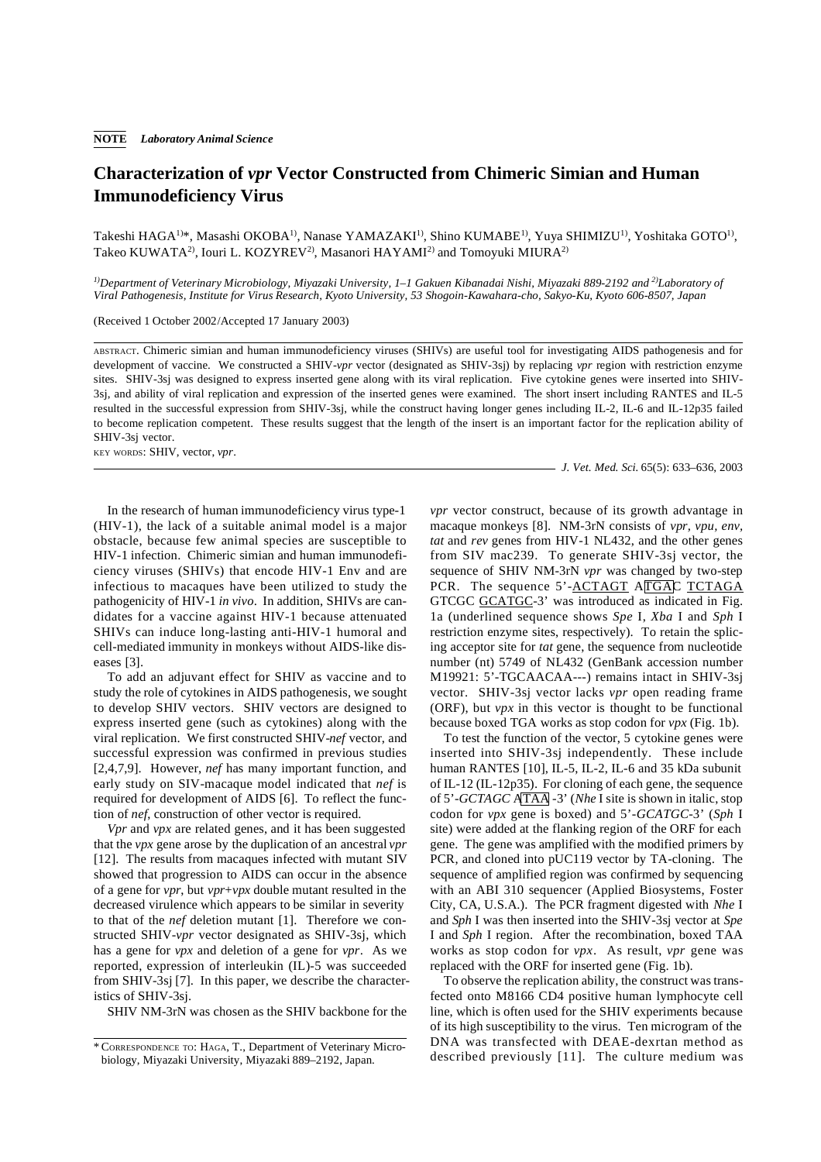## **Characterization of** *vpr* **Vector Constructed from Chimeric Simian and Human Immunodeficiency Virus**

Takeshi HAGA1)\*, Masashi OKOBA1), Nanase YAMAZAKI1), Shino KUMABE1), Yuya SHIMIZU1), Yoshitaka GOTO1), Takeo KUWATA<sup>2)</sup>, Iouri L. KOZYREV<sup>2)</sup>, Masanori HAYAMI<sup>2)</sup> and Tomoyuki MIURA<sup>2)</sup>

*1)Department of Veterinary Microbiology, Miyazaki University, 1–1 Gakuen Kibanadai Nishi, Miyazaki 889-2192 and 2)Laboratory of Viral Pathogenesis, Institute for Virus Research, Kyoto University, 53 Shogoin-Kawahara-cho, Sakyo-Ku, Kyoto 606-8507, Japan*

(Received 1 October 2002/Accepted 17 January 2003)

ABSTRACT. Chimeric simian and human immunodeficiency viruses (SHIVs) are useful tool for investigating AIDS pathogenesis and for development of vaccine. We constructed a SHIV-*vpr* vector (designated as SHIV-3sj) by replacing *vpr* region with restriction enzyme sites. SHIV-3sj was designed to express inserted gene along with its viral replication. Five cytokine genes were inserted into SHIV-3sj, and ability of viral replication and expression of the inserted genes were examined. The short insert including RANTES and IL-5 resulted in the successful expression from SHIV-3sj, while the construct having longer genes including IL-2, IL-6 and IL-12p35 failed to become replication competent. These results suggest that the length of the insert is an important factor for the replication ability of SHIV-3sj vector.

KEY WORDS: SHIV, vector, *vpr*.

*J. Vet. Med. Sci.* 65(5): 633–636, 2003

In the research of human immunodeficiency virus type-1 (HIV-1), the lack of a suitable animal model is a major obstacle, because few animal species are susceptible to HIV-1 infection. Chimeric simian and human immunodeficiency viruses (SHIVs) that encode HIV-1 Env and are infectious to macaques have been utilized to study the pathogenicity of HIV-1 *in vivo*. In addition, SHIVs are candidates for a vaccine against HIV-1 because attenuated SHIVs can induce long-lasting anti-HIV-1 humoral and cell-mediated immunity in monkeys without AIDS-like diseases [3].

To add an adjuvant effect for SHIV as vaccine and to study the role of cytokines in AIDS pathogenesis, we sought to develop SHIV vectors. SHIV vectors are designed to express inserted gene (such as cytokines) along with the viral replication. We first constructed SHIV-*nef* vector, and successful expression was confirmed in previous studies [2,4,7,9]. However, *nef* has many important function, and early study on SIV-macaque model indicated that *nef* is required for development of AIDS [6]. To reflect the function of *nef*, construction of other vector is required.

*Vpr* and *vpx* are related genes, and it has been suggested that the *vpx* gene arose by the duplication of an ancestral *vpr* [12]. The results from macaques infected with mutant SIV showed that progression to AIDS can occur in the absence of a gene for *vpr*, but *vpr*+*vpx* double mutant resulted in the decreased virulence which appears to be similar in severity to that of the *nef* deletion mutant [1]. Therefore we constructed SHIV-*vpr* vector designated as SHIV-3sj, which has a gene for *vpx* and deletion of a gene for *vpr*. As we reported, expression of interleukin (IL)-5 was succeeded from SHIV-3sj [7]. In this paper, we describe the characteristics of SHIV-3sj.

SHIV NM-3rN was chosen as the SHIV backbone for the

*vpr* vector construct, because of its growth advantage in macaque monkeys [8]. NM-3rN consists of *vpr, vpu, env, tat* and *rev* genes from HIV-1 NL432, and the other genes from SIV mac239. To generate SHIV-3sj vector, the sequence of SHIV NM-3rN *vpr* was changed by two-step PCR. The sequence 5'-ACTAGT ATGAC TCTAGA GTCGC GCATGC-3' was introduced as indicated in Fig. 1a (underlined sequence shows *Spe* I, *Xba* I and *Sph* I restriction enzyme sites, respectively). To retain the splicing acceptor site for *tat* gene, the sequence from nucleotide number (nt) 5749 of NL432 (GenBank accession number M19921: 5'-TGCAACAA---) remains intact in SHIV-3sj vector. SHIV-3sj vector lacks *vpr* open reading frame (ORF), but *vpx* in this vector is thought to be functional because boxed TGA works as stop codon for *vpx* (Fig. 1b).

To test the function of the vector, 5 cytokine genes were inserted into SHIV-3sj independently. These include human RANTES [10], IL-5, IL-2, IL-6 and 35 kDa subunit of IL-12 (IL-12p35). For cloning of each gene, the sequence of 5'-*GCTAGC* ATAA -3' (*Nhe* I site is shown in italic, stop codon for *vpx* gene is boxed) and 5'-*GCATGC*-3' (*Sph* I site) were added at the flanking region of the ORF for each gene. The gene was amplified with the modified primers by PCR, and cloned into pUC119 vector by TA-cloning. The sequence of amplified region was confirmed by sequencing with an ABI 310 sequencer (Applied Biosystems, Foster City, CA, U.S.A.). The PCR fragment digested with *Nhe* I and *Sph* I was then inserted into the SHIV-3sj vector at *Spe* I and *Sph* I region. After the recombination, boxed TAA works as stop codon for *vpx*. As result, *vpr* gene was replaced with the ORF for inserted gene (Fig. 1b).

To observe the replication ability, the construct was transfected onto M8166 CD4 positive human lymphocyte cell line, which is often used for the SHIV experiments because of its high susceptibility to the virus. Ten microgram of the DNA was transfected with DEAE-dexrtan method as described previously [11]. The culture medium was

<sup>\*</sup> CORRESPONDENCE TO: HAGA, T., Department of Veterinary Microbiology, Miyazaki University, Miyazaki 889–2192, Japan.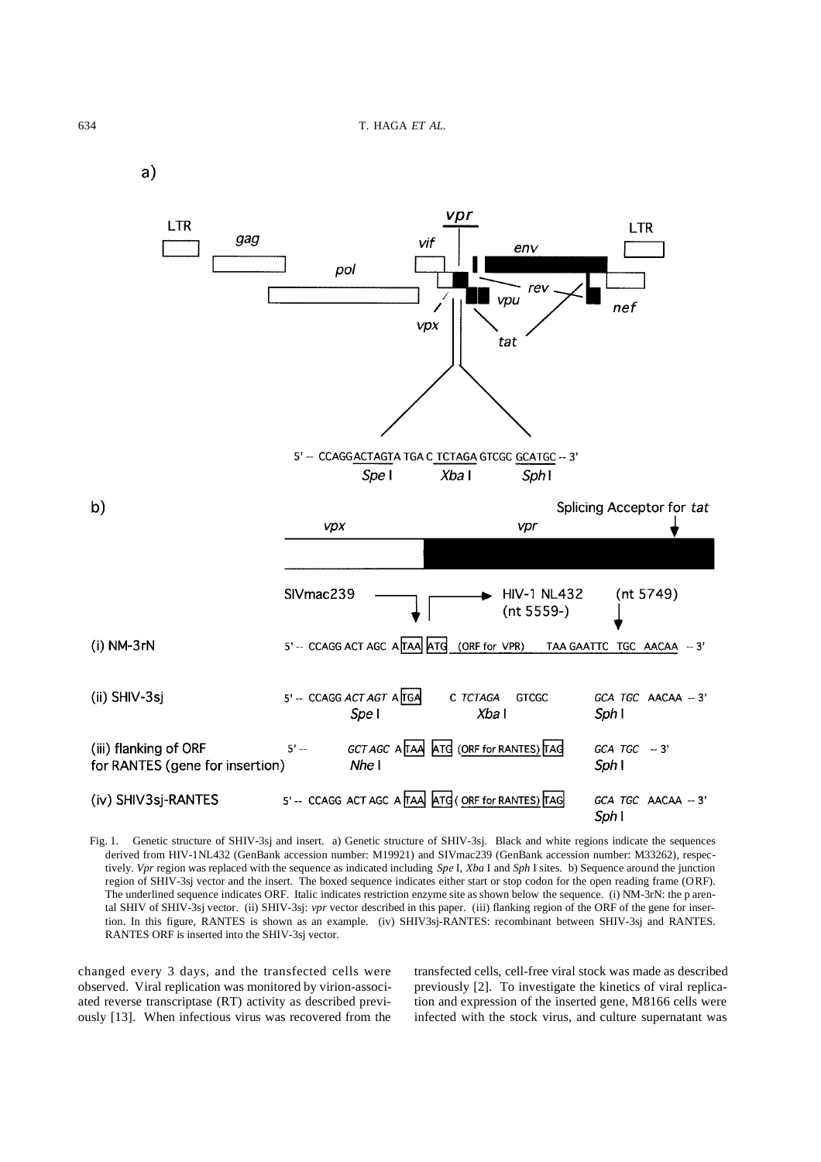$a)$ 



Fig. 1. Genetic structure of SHIV-3sj and insert. a) Genetic structure of SHIV-3sj. Black and white regions indicate the sequences derived from HIV-1NL432 (GenBank accession number: M19921) and SIVmac239 (GenBank accession number: M33262), respectively. *Vpr* region was replaced with the sequence as indicated including *Spe* I, *Xba* I and *Sph* I sites. b) Sequence around the junction region of SHIV-3sj vector and the insert. The boxed sequence indicates either start or stop codon for the open reading frame (ORF). The underlined sequence indicates ORF. Italic indicates restriction enzyme site as shown below the sequence. (i) NM-3rN: the p arental SHIV of SHIV-3sj vector. (ii) SHIV-3sj: *vpr* vector described in this paper. (iii) flanking region of the ORF of the gene for insertion. In this figure, RANTES is shown as an example. (iv) SHIV3sj-RANTES: recombinant between SHIV-3sj and RANTES. RANTES ORF is inserted into the SHIV-3sj vector.

changed every 3 days, and the transfected cells were observed. Viral replication was monitored by virion-associated reverse transcriptase (RT) activity as described previously [13]. When infectious virus was recovered from the

transfected cells, cell-free viral stock was made as described previously [2]. To investigate the kinetics of viral replication and expression of the inserted gene, M8166 cells were infected with the stock virus, and culture supernatant was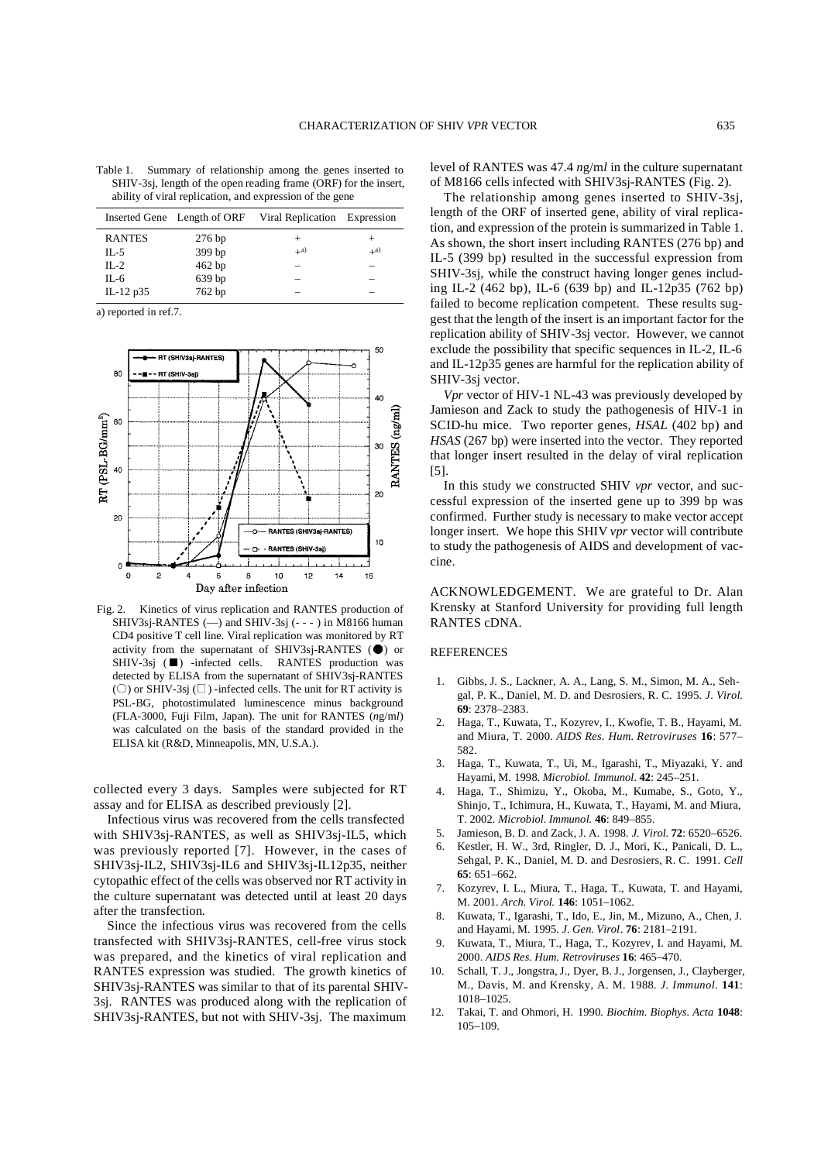|                                                                  | Table 1.                                                 |  |  | Summary of relationship among the genes inserted to |  |  |  |  |  |                              |  |
|------------------------------------------------------------------|----------------------------------------------------------|--|--|-----------------------------------------------------|--|--|--|--|--|------------------------------|--|
| SHIV-3sj, length of the open reading frame (ORF) for the insert, |                                                          |  |  |                                                     |  |  |  |  |  |                              |  |
|                                                                  | ability of viral replication, and expression of the gene |  |  |                                                     |  |  |  |  |  |                              |  |
|                                                                  |                                                          |  |  | Incorted Gana I anoth of $\triangle$                |  |  |  |  |  | Viral Penlication Expression |  |

|               | Inserted Gene Length of ORF | Viral Replication Expression |                   |
|---------------|-----------------------------|------------------------------|-------------------|
| <b>RANTES</b> | $276$ bp                    | $\pm$                        |                   |
| IL-5          | 399 bp                      | $+$ <sup>a)</sup>            | $+$ <sup>a)</sup> |
| $II - 2$      | 462 bp                      |                              |                   |
| IL-6          | 639 bp                      |                              |                   |
| IL-12 p35     | 762 bp                      |                              |                   |

a) reported in ref.7.



Fig. 2. Kinetics of virus replication and RANTES production of SHIV3sj-RANTES  $(-)$  and SHIV-3sj  $(- - )$  in M8166 human CD4 positive T cell line. Viral replication was monitored by RT activity from the supernatant of SHIV3sj-RANTES (●) or SHIV-3sj (■) -infected cells. RANTES production was detected by ELISA from the supernatant of SHIV3sj-RANTES ( $\circ$ ) or SHIV-3sj ( $\Box$ ) -infected cells. The unit for RT activity is PSL-BG, photostimulated luminescence minus background (FLA-3000, Fuji Film, Japan). The unit for RANTES (*n*g/m*l*) was calculated on the basis of the standard provided in the ELISA kit (R&D, Minneapolis, MN, U.S.A.).

collected every 3 days. Samples were subjected for RT assay and for ELISA as described previously [2].

Infectious virus was recovered from the cells transfected with SHIV3sj-RANTES, as well as SHIV3sj-IL5, which was previously reported [7]. However, in the cases of SHIV3sj-IL2, SHIV3sj-IL6 and SHIV3sj-IL12p35, neither cytopathic effect of the cells was observed nor RT activity in the culture supernatant was detected until at least 20 days after the transfection.

Since the infectious virus was recovered from the cells transfected with SHIV3sj-RANTES, cell-free virus stock was prepared, and the kinetics of viral replication and RANTES expression was studied. The growth kinetics of SHIV3sj-RANTES was similar to that of its parental SHIV-3sj. RANTES was produced along with the replication of SHIV3sj-RANTES, but not with SHIV-3sj. The maximum level of RANTES was 47.4 *n*g/m*l* in the culture supernatant of M8166 cells infected with SHIV3sj-RANTES (Fig. 2).

The relationship among genes inserted to SHIV-3sj, length of the ORF of inserted gene, ability of viral replication, and expression of the protein is summarized in Table 1. As shown, the short insert including RANTES (276 bp) and IL-5 (399 bp) resulted in the successful expression from SHIV-3sj, while the construct having longer genes including IL-2 (462 bp), IL-6 (639 bp) and IL-12p35 (762 bp) failed to become replication competent. These results suggest that the length of the insert is an important factor for the replication ability of SHIV-3sj vector. However, we cannot exclude the possibility that specific sequences in IL-2, IL-6 and IL-12p35 genes are harmful for the replication ability of SHIV-3sj vector.

*Vpr* vector of HIV-1 NL-43 was previously developed by Jamieson and Zack to study the pathogenesis of HIV-1 in SCID-hu mice. Two reporter genes, *HSAL* (402 bp) and *HSAS* (267 bp) were inserted into the vector. They reported that longer insert resulted in the delay of viral replication [5].

In this study we constructed SHIV *vpr* vector, and successful expression of the inserted gene up to 399 bp was confirmed. Further study is necessary to make vector accept longer insert. We hope this SHIV *vpr* vector will contribute to study the pathogenesis of AIDS and development of vaccine.

ACKNOWLEDGEMENT. We are grateful to Dr. Alan Krensky at Stanford University for providing full length RANTES cDNA.

## **REFERENCES**

- 1. Gibbs, J. S., Lackner, A. A., Lang, S. M., Simon, M. A., Sehgal, P. K., Daniel, M. D. and Desrosiers, R. C. 1995. *J. Virol.* **69**: 2378–2383.
- 2. Haga, T., Kuwata, T., Kozyrev, I., Kwofie, T. B., Hayami, M. and Miura, T. 2000. *AIDS Res. Hum. Retroviruses* **16**: 577– 582.
- 3. Haga, T., Kuwata, T., Ui, M., Igarashi, T., Miyazaki, Y. and Hayami, M. 1998. *Microbiol. Immunol.* **42**: 245–251.
- 4. Haga, T., Shimizu, Y., Okoba, M., Kumabe, S., Goto, Y., Shinjo, T., Ichimura, H., Kuwata, T., Hayami, M. and Miura, T. 2002. *Microbiol. Immunol.* **46**: 849–855.
- 5. Jamieson, B. D. and Zack, J. A. 1998. *J. Virol.* **72**: 6520–6526.
- 6. Kestler, H. W., 3rd, Ringler, D. J., Mori, K., Panicali, D. L., Sehgal, P. K., Daniel, M. D. and Desrosiers, R. C. 1991. *Cell* **65**: 651–662.
- 7. Kozyrev, I. L., Miura, T., Haga, T., Kuwata, T. and Hayami, M. 2001. *Arch. Virol.* **146**: 1051–1062.
- 8. Kuwata, T., Igarashi, T., Ido, E., Jin, M., Mizuno, A., Chen, J. and Hayami, M. 1995. *J. Gen. Virol*. **76**: 2181–2191.
- 9. Kuwata, T., Miura, T., Haga, T., Kozyrev, I. and Hayami, M. 2000. *AIDS Res. Hum. Retroviruses* **16**: 465–470.
- 10. Schall, T. J., Jongstra, J., Dyer, B. J., Jorgensen, J., Clayberger, M., Davis, M. and Krensky, A. M. 1988. *J. Immunol.* **141**: 1018–1025.
- 12. Takai, T. and Ohmori, H. 1990. *Biochim. Biophys. Acta* **1048**: 105–109.